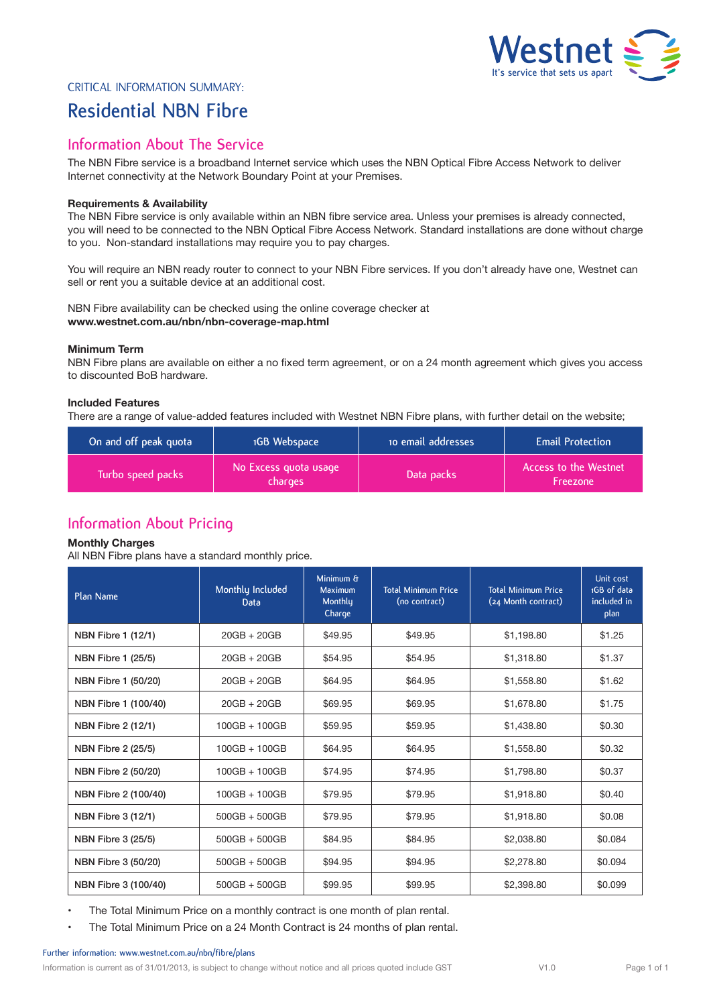

# Critical Information Summary:

# **Residential NBN Fibre**

# **Information About The Service**

The NBN Fibre service is a broadband Internet service which uses the NBN Optical Fibre Access Network to deliver Internet connectivity at the Network Boundary Point at your Premises.

## **Requirements & Availability**

The NBN Fibre service is only available within an NBN fibre service area. Unless your premises is already connected, you will need to be connected to the NBN Optical Fibre Access Network. Standard installations are done without charge to you. Non-standard installations may require you to pay charges.

You will require an NBN ready router to connect to your NBN Fibre services. If you don't already have one, Westnet can sell or rent you a suitable device at an additional cost.

NBN Fibre availability can be checked using the online coverage checker at **www.westnet.com.au/nbn/nbn-coverage-map.html** 

### **Minimum Term**

NBN Fibre plans are available on either a no fixed term agreement, or on a 24 month agreement which gives you access to discounted BoB hardware.

### **Included Features**

There are a range of value-added features included with Westnet NBN Fibre plans, with further detail on the website;

| On and off peak quota | 1GB Webspace                     | to email addresses | <b>Email Protection</b>           |  |
|-----------------------|----------------------------------|--------------------|-----------------------------------|--|
| Turbo speed packs     | No Excess quota usage<br>charges | Data packs         | Access to the Westnet<br>Freezone |  |

# **Information About Pricing**

### **Monthly Charges**

All NBN Fibre plans have a standard monthly price.

| Plan Name                 | Monthly Included<br>Data | Minimum &<br>Maximum<br>Monthly<br>Charge | <b>Total Minimum Price</b><br>(no contract) | <b>Total Minimum Price</b><br>(24 Month contract) | Unit cost<br>1GB of data<br>included in<br>plan |
|---------------------------|--------------------------|-------------------------------------------|---------------------------------------------|---------------------------------------------------|-------------------------------------------------|
| NBN Fibre 1 (12/1)        | $20GB + 20GB$            | \$49.95                                   | \$49.95                                     | \$1.198.80                                        | \$1.25                                          |
| <b>NBN Fibre 1 (25/5)</b> | $20GB + 20GB$            | \$54.95                                   | \$54.95                                     | \$1,318,80                                        | \$1.37                                          |
| NBN Fibre 1 (50/20)       | $20GB + 20GB$            | \$64.95                                   | \$64.95                                     | \$1,558.80                                        | \$1.62                                          |
| NBN Fibre 1 (100/40)      | $20GB + 20GB$            | \$69.95                                   | \$69.95                                     | \$1,678.80                                        | \$1.75                                          |
| NBN Fibre 2 (12/1)        | $100GB + 100GB$          | \$59.95                                   | \$59.95                                     | \$1,438.80                                        | \$0.30                                          |
| NBN Fibre 2 (25/5)        | $100GB + 100GB$          | \$64.95                                   | \$64.95                                     | \$1,558.80                                        | \$0.32                                          |
| NBN Fibre 2 (50/20)       | $100GB + 100GB$          | \$74.95                                   | \$74.95                                     | \$1,798.80                                        | \$0.37                                          |
| NBN Fibre 2 (100/40)      | $100GB + 100GB$          | \$79.95                                   | \$79.95                                     | \$1,918.80                                        | \$0.40                                          |
| NBN Fibre 3 (12/1)        | $500GB + 500GB$          | \$79.95                                   | \$79.95                                     | \$1,918.80                                        | \$0.08                                          |
| NBN Fibre 3 (25/5)        | $500GB + 500GB$          | \$84.95                                   | \$84.95                                     | \$2,038.80                                        | \$0.084                                         |
| NBN Fibre 3 (50/20)       | $500GB + 500GB$          | \$94.95                                   | \$94.95                                     | \$2,278.80                                        | \$0.094                                         |
| NBN Fibre 3 (100/40)      | $500GB + 500GB$          | \$99.95                                   | \$99.95                                     | \$2,398.80                                        | \$0.099                                         |

• The Total Minimum Price on a monthly contract is one month of plan rental.

• The Total Minimum Price on a 24 Month Contract is 24 months of plan rental.

### **Further information: www.westnet.com.au/nbn/fibre/plans**